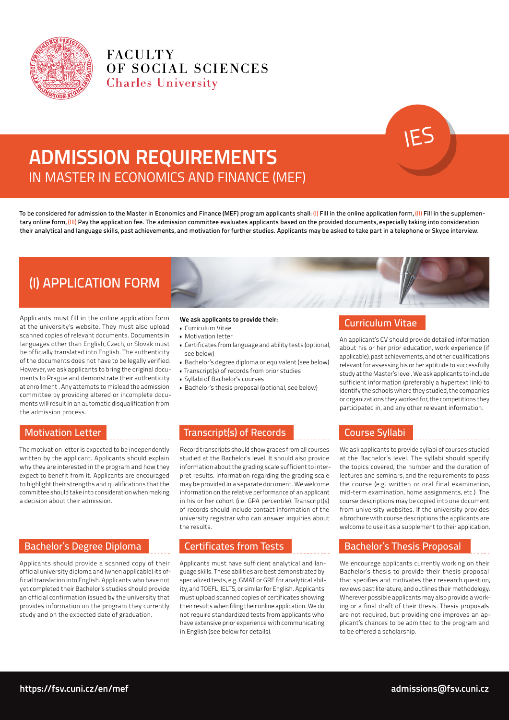

**FACULTY** OF SOCIAL SCIENCES **Charles University** 

# ADMISSION REQUIREMENTS IN MASTER IN ECONOMICS AND FINANCE (MEF)

To be considered for admission to the Master in Economics and Finance (MEF) program applicants shall: (I) Fill in the online application form, (II) Fill in the supplementary online form, (III) Pay the application fee. The admission committee evaluates applicants based on the provided documents, especially taking into consideration their analytical and language skills, past achievements, and motivation for further studies. Applicants may be asked to take part in a telephone or Skype interview.

# (I) APPLICATION FORM

Applicants must fill in the online application form at the university's website. They must also upload scanned copies of relevant documents. Documents in languages other than English, Czech, or Slovak must be officially translated into English. The authenticity of the documents does not have to be legally verified. However, we ask applicants to bring the original documents to Prague and demonstrate their authenticity at enrollment . Any attempts to mislead the admission committee by providing altered or incomplete documents will result in an automatic disqualification from the admission process.

### We ask applicants to provide their:

- • Curriculum Vitae • Motivation letter
- 
- • Certificates from language and ability tests (optional, see below)
- Bachelor's degree diploma or equivalent (see below)
- • Transcript(s) of records from prior studies
- • Syllabi of Bachelor's courses
- • Bachelor's thesis proposal (optional, see below)

# Motivation Letter

The motivation letter is expected to be independently written by the applicant. Applicants should explain why they are interested in the program and how they expect to benefit from it. Applicants are encouraged to highlight their strengths and qualifications that the committee should take into consideration when making a decision about their admission.

# Bachelor's Degree Diploma

Applicants should provide a scanned copy of their official university diploma and (when applicable) its official translation into English. Applicants who have not yet completed their Bachelor's studies should provide an official confirmation issued by the university that provides information on the program they currently study and on the expected date of graduation.

# Transcript(s) of Records

Record transcripts should show grades from all courses studied at the Bachelor's level. It should also provide information about the grading scale sufficient to interpret results. Information regarding the grading scale may be provided in a separate document. We welcome information on the relative performance of an applicant in his or her cohort (i.e. GPA percentile). Transcript(s) of records should include contact information of the university registrar who can answer inquiries about the results.

# Certificates from Tests

Applicants must have sufficient analytical and language skills. These abilities are best demonstrated by specialized tests, e.g. GMAT or GRE for analytical ability, and TOEFL, IELTS, or similar for English. Applicants must upload scanned copies of certificates showing their results when filing their online application. We do not require standardized tests from applicants who have extensive prior experience with communicating in English (see below for details).

# Curriculum Vitae

An applicant's CV should provide detailed information about his or her prior education, work experience (if applicable), past achievements, and other qualifications relevant for assessing his or her aptitude to successfully study at the Master's level. We ask applicants to include sufficient information (preferably a hypertext link) to identify the schools where they studied, the companies or organizations they worked for, the competitions they participated in, and any other relevant information.

# Course Syllabi

We ask applicants to provide syllabi of courses studied at the Bachelor's level. The syllabi should specify the topics covered, the number and the duration of lectures and seminars, and the requirements to pass the course (e.g. written or oral final examination, mid-term examination, home assignments, etc.). The course descriptions may be copied into one document from university websites. If the university provides a brochure with course descriptions the applicants are welcome to use it as a supplement to their application.

# Bachelor's Thesis Proposal

We encourage applicants currently working on their Bachelor's thesis to provide their thesis proposal that specifies and motivates their research question, reviews past literature, and outlines their methodology. Wherever possible applicants may also provide a working or a final draft of their thesis. Thesis proposals are not required, but providing one improves an applicant's chances to be admitted to the program and to be offered a scholarship.